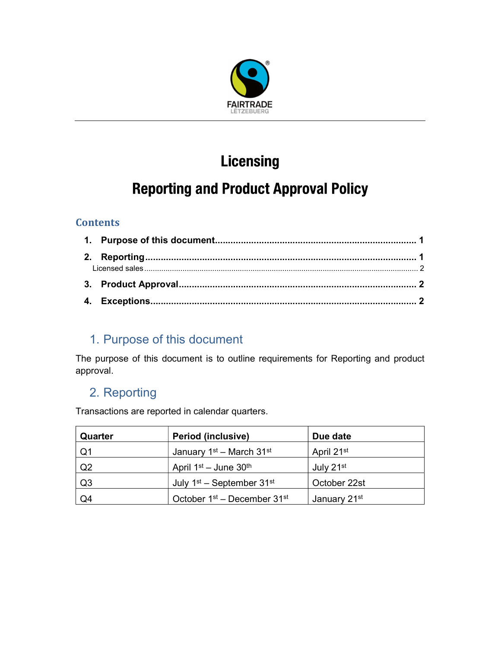

# **Licensing**

# **Reporting and Product Approval Policy**

#### **Contents**

## 1. Purpose of this document

The purpose of this document is to outline requirements for Reporting and product approval.

## 2. Reporting

Transactions are reported in calendar quarters.

| Quarter | <b>Period (inclusive)</b>                           | Due date                 |
|---------|-----------------------------------------------------|--------------------------|
| Q1      | January $1st$ – March $31st$                        | April 21 <sup>st</sup>   |
| Q2      | April $1st$ – June $30th$                           | July 21st                |
| Q3      | July $1st$ – September 31 <sup>st</sup>             | October 22st             |
| Q4      | October 1 <sup>st</sup> – December 31 <sup>st</sup> | January 21 <sup>st</sup> |